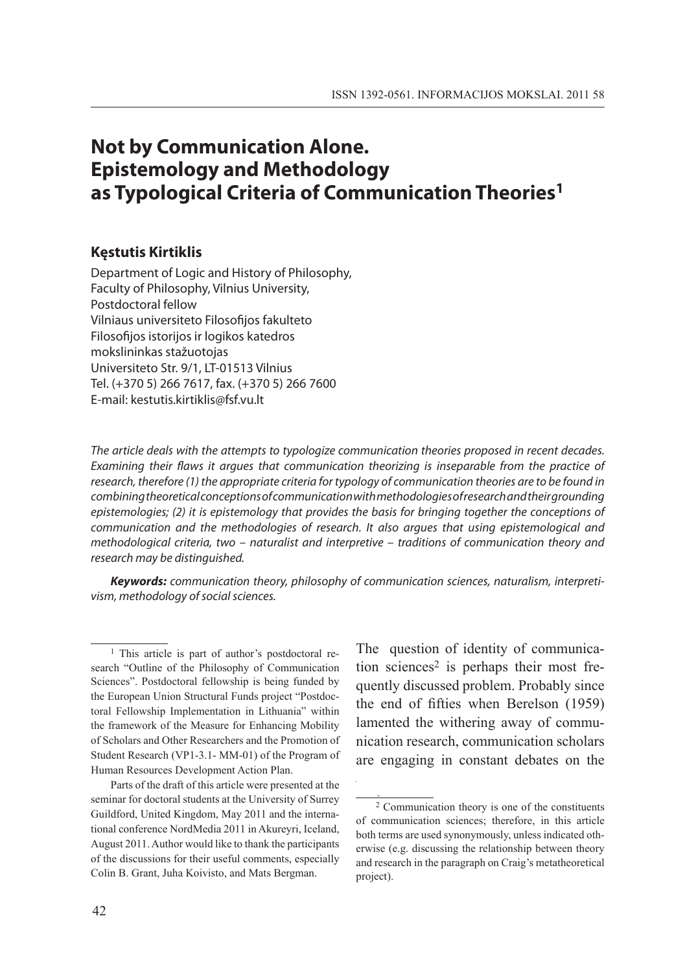# **Not by Communication Alone. Epistemology and Methodology as Typological Criteria of Communication Theories1**

#### **Kęstutis Kirtiklis**

Department of Logic and History of Philosophy, Faculty of Philosophy, Vilnius University, Postdoctoral fellow Vilniaus universiteto Filosofijos fakulteto Filosofijos istorijos ir logikos katedros mokslininkas stažuotojas Universiteto Str. 9/1, LT-01513 Vilnius Tel. (+370 5) 266 7617, fax. (+370 5) 266 7600 E-mail: kestutis.kirtiklis@fsf.vu.lt

*The article deals with the attempts to typologize communication theories proposed in recent decades. Examining their flaws it argues that communication theorizing is inseparable from the practice of research, therefore (1) the appropriate criteria for typology of communication theories are to be found in combining theoretical conceptions of communication with methodologies of research and their grounding epistemologies; (2) it is epistemology that provides the basis for bringing together the conceptions of communication and the methodologies of research. It also argues that using epistemological and methodological criteria, two – naturalist and interpretive – traditions of communication theory and research may be distinguished.* 

*Keywords: communication theory, philosophy of communication sciences, naturalism, interpretivism, methodology of social sciences.*

1

The question of identity of communication sciences<sup>2</sup> is perhaps their most frequently discussed problem. Probably since the end of fifties when Berelson (1959) lamented the withering away of communication research, communication scholars are engaging in constant debates on the

<sup>&</sup>lt;sup>1</sup> This article is part of author's postdoctoral research "Outline of the Philosophy of Communication Sciences". Postdoctoral fellowship is being funded by the European Union Structural Funds project "Postdoctoral Fellowship Implementation in Lithuania" within the framework of the Measure for Enhancing Mobility of Scholars and Other Researchers and the Promotion of Student Research (VP1-3.1- MM-01) of the Program of Human Resources Development Action Plan.

Parts of the draft of this article were presented at the seminar for doctoral students at the University of Surrey Guildford, United Kingdom, May 2011 and the international conference NordMedia 2011 in Akureyri, Iceland, August 2011. Author would like to thank the participants of the discussions for their useful comments, especially Colin B. Grant, Juha Koivisto, and Mats Bergman.

<sup>2</sup> Communication theory is one of the constituents of communication sciences; therefore, in this article both terms are used synonymously, unless indicated otherwise (e.g. discussing the relationship between theory and research in the paragraph on Craig's metatheoretical project).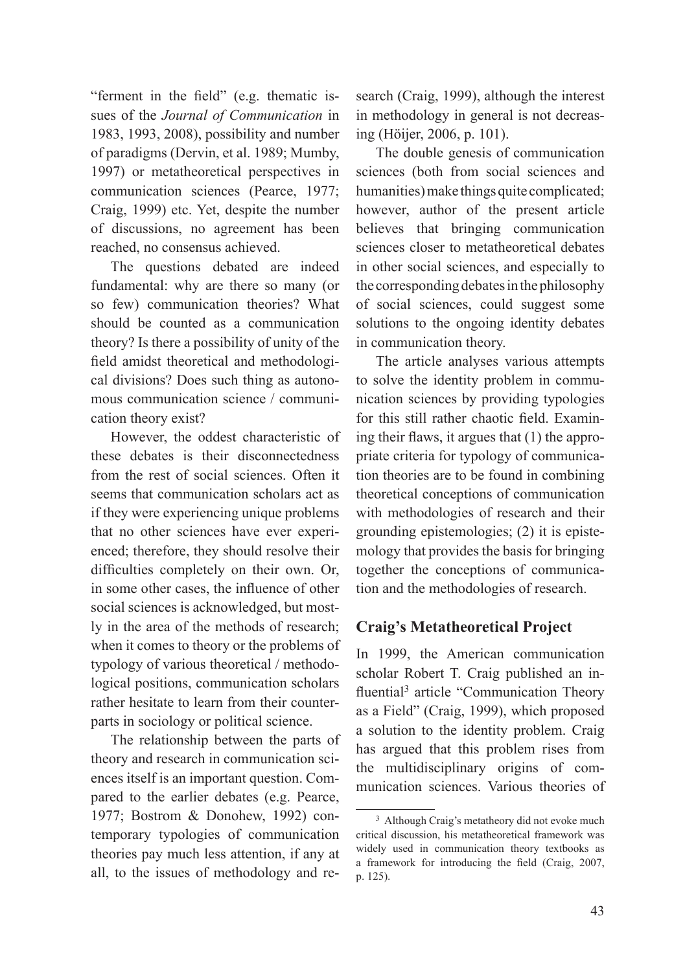"ferment in the field" (e.g. thematic issues of the *Journal of Communication* in 1983, 1993, 2008), possibility and number of paradigms (Dervin, et al. 1989; Mumby, 1997) or metatheoretical perspectives in communication sciences (Pearce, 1977; Craig, 1999) etc. Yet, despite the number of discussions, no agreement has been reached, no consensus achieved.

The questions debated are indeed fundamental: why are there so many (or so few) communication theories? What should be counted as a communication theory? Is there a possibility of unity of the field amidst theoretical and methodological divisions? Does such thing as autonomous communication science / communication theory exist?

However, the oddest characteristic of these debates is their disconnectedness from the rest of social sciences. Often it seems that communication scholars act as if they were experiencing unique problems that no other sciences have ever experienced; therefore, they should resolve their difficulties completely on their own. Or, in some other cases, the influence of other social sciences is acknowledged, but mostly in the area of the methods of research; when it comes to theory or the problems of typology of various theoretical / methodological positions, communication scholars rather hesitate to learn from their counterparts in sociology or political science.

The relationship between the parts of theory and research in communication sciences itself is an important question. Compared to the earlier debates (e.g. Pearce, 1977; Bostrom & Donohew, 1992) contemporary typologies of communication theories pay much less attention, if any at all, to the issues of methodology and research (Craig, 1999), although the interest in methodology in general is not decreasing (Höijer, 2006, p. 101).

The double genesis of communication sciences (both from social sciences and humanities) make things quite complicated; however, author of the present article believes that bringing communication sciences closer to metatheoretical debates in other social sciences, and especially to the corresponding debates in the philosophy of social sciences, could suggest some solutions to the ongoing identity debates in communication theory.

The article analyses various attempts to solve the identity problem in communication sciences by providing typologies for this still rather chaotic field. Examining their flaws, it argues that (1) the appropriate criteria for typology of communication theories are to be found in combining theoretical conceptions of communication with methodologies of research and their grounding epistemologies; (2) it is epistemology that provides the basis for bringing together the conceptions of communication and the methodologies of research.

### **Craig's Metatheoretical Project**

In 1999, the American communication scholar Robert T. Craig published an influential<sup>3</sup> article "Communication Theory as a Field" (Craig, 1999), which proposed a solution to the identity problem. Craig has argued that this problem rises from the multidisciplinary origins of communication sciences. Various theories of

<sup>3</sup> Although Craig's metatheory did not evoke much critical discussion, his metatheoretical framework was widely used in communication theory textbooks as a framework for introducing the field (Craig, 2007, p. 125).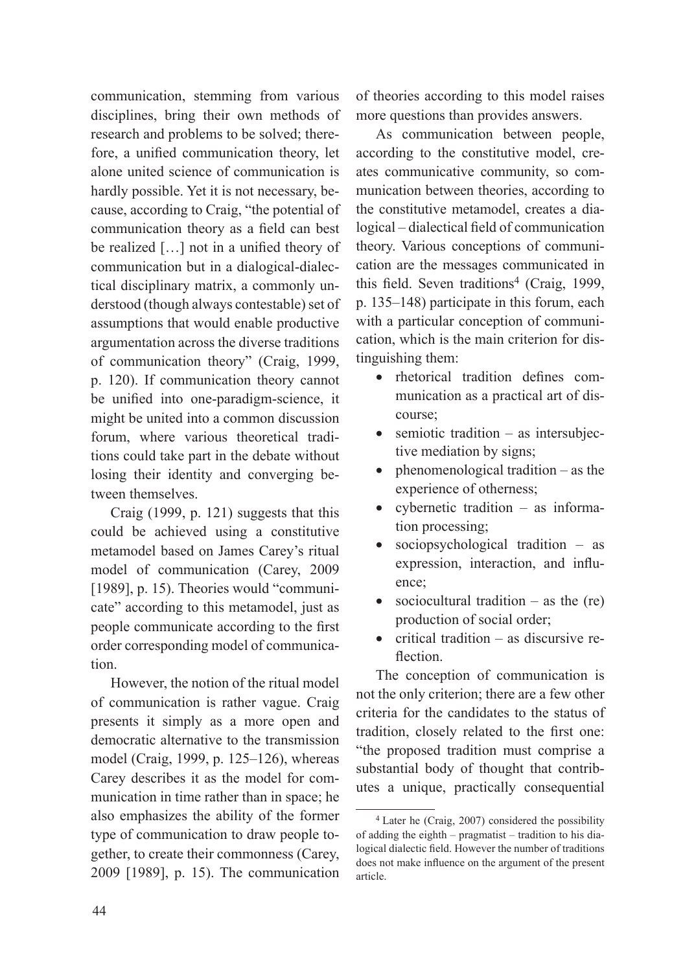communication, stemming from various disciplines, bring their own methods of research and problems to be solved; therefore, a unified communication theory, let alone united science of communication is hardly possible. Yet it is not necessary, because, according to Craig, "the potential of communication theory as a field can best be realized […] not in a unified theory of communication but in a dialogical-dialectical disciplinary matrix, a commonly understood (though always contestable) set of assumptions that would enable productive argumentation across the diverse traditions of communication theory" (Craig, 1999, p. 120). If communication theory cannot be unified into one-paradigm-science, it might be united into a common discussion forum, where various theoretical traditions could take part in the debate without losing their identity and converging between themselves.

Craig (1999, p. 121) suggests that this could be achieved using a constitutive metamodel based on James Carey's ritual model of communication (Carey, 2009 [1989], p. 15). Theories would "communicate" according to this metamodel, just as people communicate according to the first order corresponding model of communication.

However, the notion of the ritual model of communication is rather vague. Craig presents it simply as a more open and democratic alternative to the transmission model (Craig, 1999, p. 125–126), whereas Carey describes it as the model for communication in time rather than in space; he also emphasizes the ability of the former type of communication to draw people together, to create their commonness (Carey, 2009 [1989], p. 15). The communication of theories according to this model raises more questions than provides answers.

As communication between people, according to the constitutive model, creates communicative community, so communication between theories, according to the constitutive metamodel, creates a dialogical – dialectical field of communication theory. Various conceptions of communication are the messages communicated in this field. Seven traditions<sup>4</sup> (Craig, 1999, p. 135–148) participate in this forum, each with a particular conception of communication, which is the main criterion for distinguishing them:

- • rhetorical tradition defines communication as a practical art of discourse;
- semiotic tradition as intersubjective mediation by signs;
- $\bullet$  phenomenological tradition as the experience of otherness;
- cybernetic tradition as information processing;
- sociopsychological tradition  $-$  as expression, interaction, and influence;
- sociocultural tradition as the  $(re)$ production of social order;
- critical tradition as discursive reflection.

The conception of communication is not the only criterion; there are a few other criteria for the candidates to the status of tradition, closely related to the first one: "the proposed tradition must comprise a substantial body of thought that contributes a unique, practically consequential

<sup>4</sup> Later he (Craig, 2007) considered the possibility of adding the eighth – pragmatist – tradition to his dialogical dialectic field. However the number of traditions does not make influence on the argument of the present article.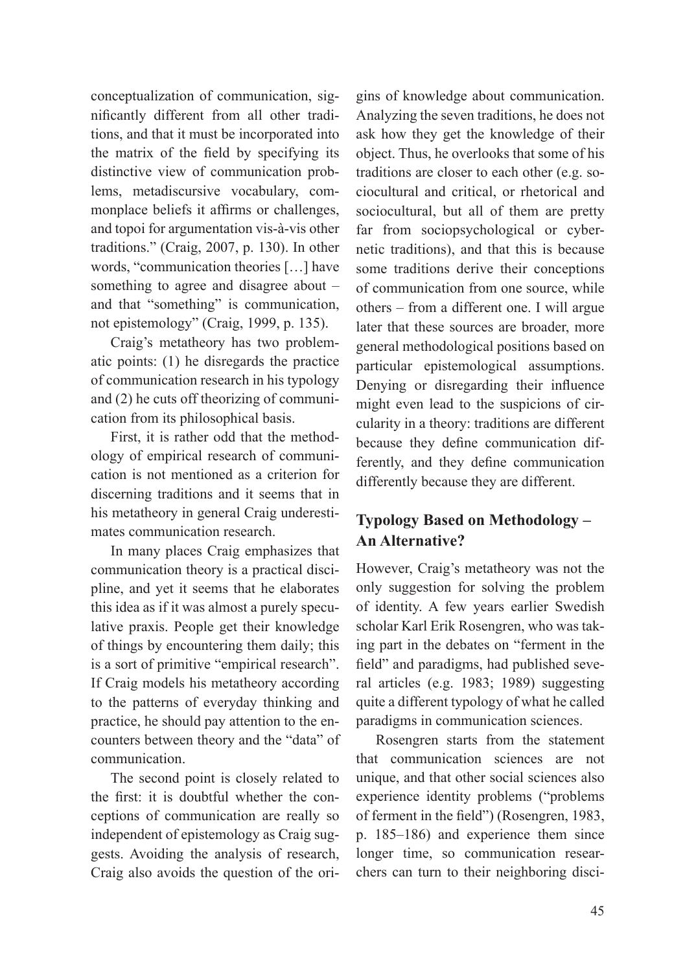conceptualization of communication, significantly different from all other traditions, and that it must be incorporated into the matrix of the field by specifying its distinctive view of communication problems, metadiscursive vocabulary, commonplace beliefs it affirms or challenges, and topoi for argumentation vis-à-vis other traditions." (Craig, 2007, p. 130). In other words, "communication theories […] have something to agree and disagree about – and that "something" is communication, not epistemology" (Craig, 1999, p. 135).

Craig's metatheory has two problematic points: (1) he disregards the practice of communication research in his typology and (2) he cuts off theorizing of communication from its philosophical basis.

First, it is rather odd that the methodology of empirical research of communication is not mentioned as a criterion for discerning traditions and it seems that in his metatheory in general Craig underestimates communication research.

In many places Craig emphasizes that communication theory is a practical discipline, and yet it seems that he elaborates this idea as if it was almost a purely speculative praxis. People get their knowledge of things by encountering them daily; this is a sort of primitive "empirical research". If Craig models his metatheory according to the patterns of everyday thinking and practice, he should pay attention to the encounters between theory and the "data" of communication.

The second point is closely related to the first: it is doubtful whether the conceptions of communication are really so independent of epistemology as Craig suggests. Avoiding the analysis of research, Craig also avoids the question of the ori-

gins of knowledge about communication. Analyzing the seven traditions, he does not ask how they get the knowledge of their object. Thus, he overlooks that some of his traditions are closer to each other (e.g. sociocultural and critical, or rhetorical and sociocultural, but all of them are pretty far from sociopsychological or cybernetic traditions), and that this is because some traditions derive their conceptions of communication from one source, while others – from a different one. I will argue later that these sources are broader, more general methodological positions based on particular epistemological assumptions. Denying or disregarding their influence might even lead to the suspicions of circularity in a theory: traditions are different because they define communication differently, and they define communication differently because they are different.

# **Typology Based on Methodology – An Alternative?**

However, Craig's metatheory was not the only suggestion for solving the problem of identity. A few years earlier Swedish scholar Karl Erik Rosengren, who was taking part in the debates on "ferment in the field" and paradigms, had published several articles (e.g. 1983; 1989) suggesting quite a different typology of what he called paradigms in communication sciences.

Rosengren starts from the statement that communication sciences are not unique, and that other social sciences also experience identity problems ("problems of ferment in the field") (Rosengren, 1983, p. 185–186) and experience them since longer time, so communication researchers can turn to their neighboring disci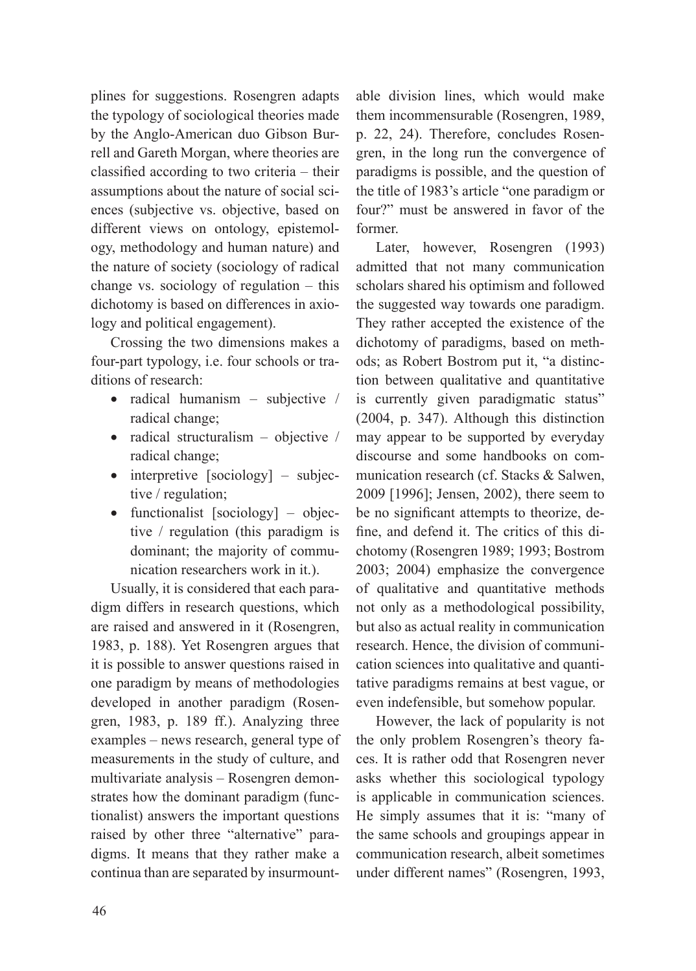plines for suggestions. Rosengren adapts the typology of sociological theories made by the Anglo-American duo Gibson Burrell and Gareth Morgan, where theories are classified according to two criteria – their assumptions about the nature of social sciences (subjective vs. objective, based on different views on ontology, epistemology, methodology and human nature) and the nature of society (sociology of radical change vs. sociology of regulation – this dichotomy is based on differences in axiology and political engagement).

Crossing the two dimensions makes a four-part typology, i.e. four schools or traditions of research:

- radical humanism subjective  $/$ radical change;
- radical structuralism objective  $/$ radical change;
- $\bullet$  interpretive [sociology] subjective / regulation;
- functionalist  $[{\rm sociology}]$  objective / regulation (this paradigm is dominant; the majority of communication researchers work in it.).

Usually, it is considered that each paradigm differs in research questions, which are raised and answered in it (Rosengren, 1983, p. 188). Yet Rosengren argues that it is possible to answer questions raised in one paradigm by means of methodologies developed in another paradigm (Rosengren, 1983, p. 189 ff.). Analyzing three examples – news research, general type of measurements in the study of culture, and multivariate analysis – Rosengren demonstrates how the dominant paradigm (functionalist) answers the important questions raised by other three "alternative" paradigms. It means that they rather make a continua than are separated by insurmountable division lines, which would make them incommensurable (Rosengren, 1989, p. 22, 24). Therefore, concludes Rosengren, in the long run the convergence of paradigms is possible, and the question of the title of 1983's article "one paradigm or four?" must be answered in favor of the former.

Later, however, Rosengren (1993) admitted that not many communication scholars shared his optimism and followed the suggested way towards one paradigm. They rather accepted the existence of the dichotomy of paradigms, based on methods; as Robert Bostrom put it, "a distinction between qualitative and quantitative is currently given paradigmatic status" (2004, p. 347). Although this distinction may appear to be supported by everyday discourse and some handbooks on communication research (cf. Stacks & Salwen, 2009 [1996]; Jensen, 2002), there seem to be no significant attempts to theorize, define, and defend it. The critics of this dichotomy (Rosengren 1989; 1993; Bostrom 2003; 2004) emphasize the convergence of qualitative and quantitative methods not only as a methodological possibility, but also as actual reality in communication research. Hence, the division of communication sciences into qualitative and quantitative paradigms remains at best vague, or even indefensible, but somehow popular.

However, the lack of popularity is not the only problem Rosengren's theory faces. It is rather odd that Rosengren never asks whether this sociological typology is applicable in communication sciences. He simply assumes that it is: "many of the same schools and groupings appear in communication research, albeit sometimes under different names" (Rosengren, 1993,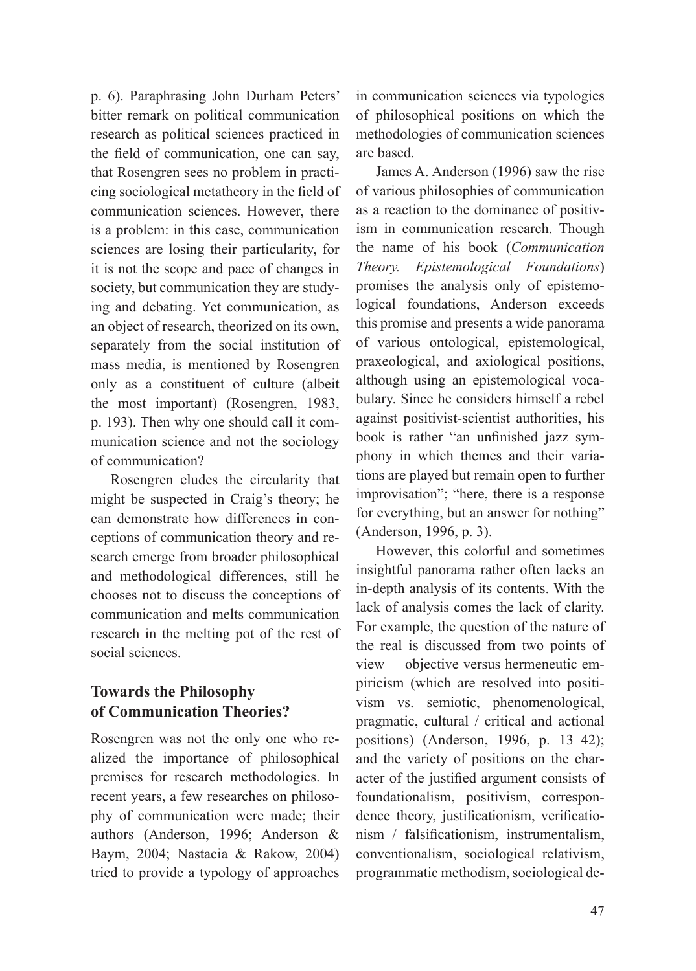p. 6). Paraphrasing John Durham Peters' bitter remark on political communication research as political sciences practiced in the field of communication, one can say, that Rosengren sees no problem in practicing sociological metatheory in the field of communication sciences. However, there is a problem: in this case, communication sciences are losing their particularity, for it is not the scope and pace of changes in society, but communication they are studying and debating. Yet communication, as an object of research, theorized on its own, separately from the social institution of mass media, is mentioned by Rosengren only as a constituent of culture (albeit the most important) (Rosengren, 1983, p. 193). Then why one should call it communication science and not the sociology of communication?

Rosengren eludes the circularity that might be suspected in Craig's theory; he can demonstrate how differences in conceptions of communication theory and research emerge from broader philosophical and methodological differences, still he chooses not to discuss the conceptions of communication and melts communication research in the melting pot of the rest of social sciences.

### **Towards the Philosophy of Communication Theories?**

Rosengren was not the only one who realized the importance of philosophical premises for research methodologies. In recent years, a few researches on philosophy of communication were made; their authors (Anderson, 1996; Anderson & Baym, 2004; Nastacia & Rakow, 2004) tried to provide a typology of approaches

in communication sciences via typologies of philosophical positions on which the methodologies of communication sciences are based.

James A. Anderson (1996) saw the rise of various philosophies of communication as a reaction to the dominance of positivism in communication research. Though the name of his book (*Communication Theory. Epistemological Foundations*) promises the analysis only of epistemological foundations, Anderson exceeds this promise and presents a wide panorama of various ontological, epistemological, praxeological, and axiological positions, although using an epistemological vocabulary. Since he considers himself a rebel against positivist-scientist authorities, his book is rather "an unfinished jazz symphony in which themes and their variations are played but remain open to further improvisation"; "here, there is a response for everything, but an answer for nothing" (Anderson, 1996, p. 3).

However, this colorful and sometimes insightful panorama rather often lacks an in-depth analysis of its contents. With the lack of analysis comes the lack of clarity. For example, the question of the nature of the real is discussed from two points of view – objective versus hermeneutic empiricism (which are resolved into positivism vs. semiotic, phenomenological, pragmatic, cultural / critical and actional positions) (Anderson, 1996, p. 13–42); and the variety of positions on the character of the justified argument consists of foundationalism, positivism, correspondence theory, justificationism, verificationism / falsificationism, instrumentalism, conventionalism, sociological relativism, programmatic methodism, sociological de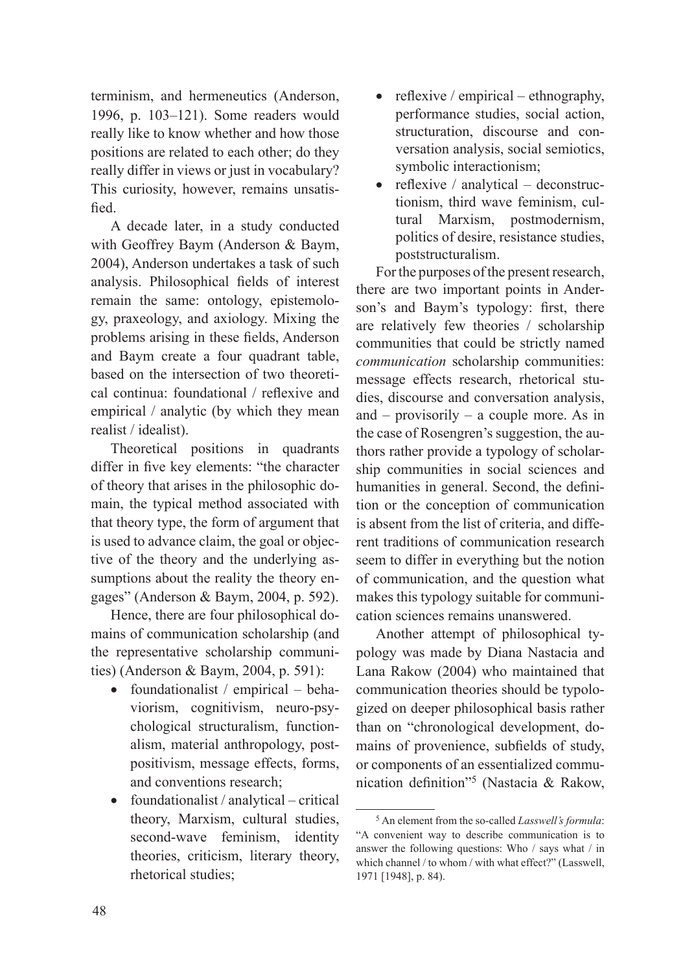terminism, and hermeneutics (Anderson, 1996, p. 103–121). Some readers would really like to know whether and how those positions are related to each other; do they really differ in views or just in vocabulary? This curiosity, however, remains unsatisfied.

A decade later, in a study conducted with Geoffrey Baym (Anderson & Baym, 2004), Anderson undertakes a task of such analysis. Philosophical fields of interest remain the same: ontology, epistemology, praxeology, and axiology. Mixing the problems arising in these fields, Anderson and Baym create a four quadrant table, based on the intersection of two theoretical continua: foundational / reflexive and empirical / analytic (by which they mean realist / idealist).

Theoretical positions in quadrants differ in five key elements: "the character of theory that arises in the philosophic domain, the typical method associated with that theory type, the form of argument that is used to advance claim, the goal or objective of the theory and the underlying assumptions about the reality the theory engages" (Anderson & Baym, 2004, p. 592).

Hence, there are four philosophical domains of communication scholarship (and the representative scholarship communities) (Anderson & Baym, 2004, p. 591):

- foundationalist / empirical behaviorism, cognitivism, neuro-psychological structuralism, functionalism, material anthropology, postpositivism, message effects, forms, and conventions research;
- foundationalist / analytical critical theory, Marxism, cultural studies, second-wave feminism, identity theories, criticism, literary theory, rhetorical studies;
- reflexive / empirical ethnography, performance studies, social action, structuration, discourse and conversation analysis, social semiotics, symbolic interactionism;
- reflexive / analytical deconstructionism, third wave feminism, cultural Marxism, postmodernism, politics of desire, resistance studies, poststructuralism.

For the purposes of the present research, there are two important points in Anderson's and Baym's typology: first, there are relatively few theories / scholarship communities that could be strictly named *communication* scholarship communities: message effects research, rhetorical studies, discourse and conversation analysis, and – provisorily – a couple more. As in the case of Rosengren's suggestion, the authors rather provide a typology of scholarship communities in social sciences and humanities in general. Second, the definition or the conception of communication is absent from the list of criteria, and different traditions of communication research seem to differ in everything but the notion of communication, and the question what makes this typology suitable for communication sciences remains unanswered.

Another attempt of philosophical typology was made by Diana Nastacia and Lana Rakow (2004) who maintained that communication theories should be typologized on deeper philosophical basis rather than on "chronological development, domains of provenience, subfields of study, or components of an essentialized communication definition"<sup>5</sup> (Nastacia & Rakow,

<sup>5</sup> An element from the so-called *Lasswell's formula*: "A convenient way to describe communication is to answer the following questions: Who / says what / in which channel / to whom / with what effect?" (Lasswell, 1971 [1948], p. 84).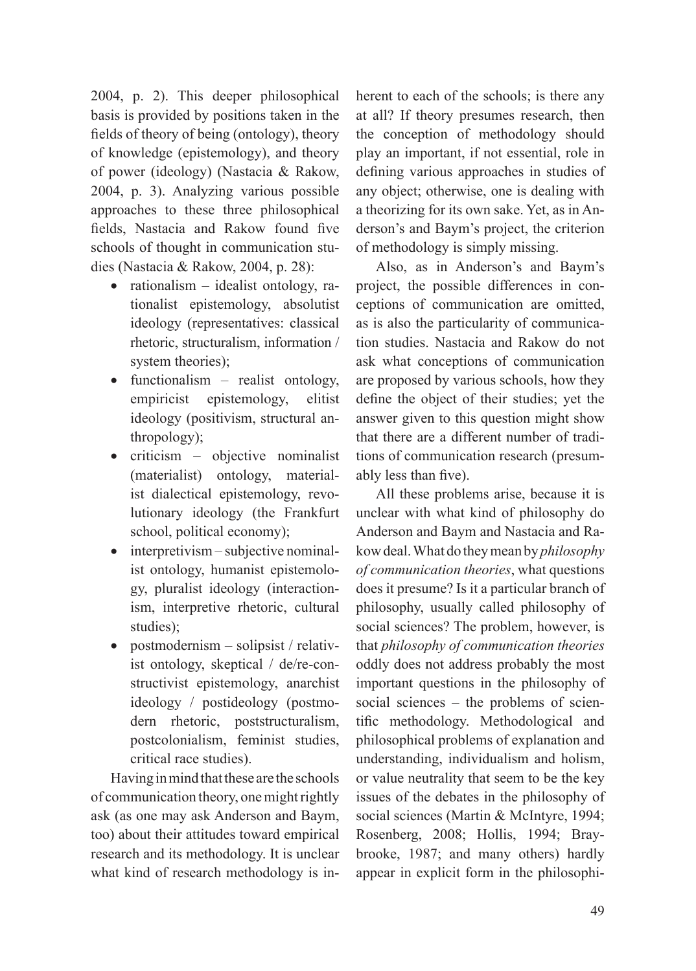2004, p. 2). This deeper philosophical basis is provided by positions taken in the fields of theory of being (ontology), theory of knowledge (epistemology), and theory of power (ideology) (Nastacia & Rakow, 2004, p. 3). Analyzing various possible approaches to these three philosophical fields, Nastacia and Rakow found five schools of thought in communication studies (Nastacia & Rakow, 2004, p. 28):

- rationalism  $-$  idealist ontology, rationalist epistemology, absolutist ideology (representatives: classical rhetoric, structuralism, information / system theories);
- functionalism realist ontology, empiricist epistemology, elitist ideology (positivism, structural anthropology);
- criticism objective nominalist (materialist) ontology, materialist dialectical epistemology, revolutionary ideology (the Frankfurt school, political economy);
- $\bullet$  interpretivism subjective nominalist ontology, humanist epistemology, pluralist ideology (interactionism, interpretive rhetoric, cultural studies);
- postmodernism solipsist / relativist ontology, skeptical / de/re-constructivist epistemology, anarchist ideology / postideology (postmodern rhetoric, poststructuralism, postcolonialism, feminist studies, critical race studies).

Having in mind that these are the schools of communication theory, one might rightly ask (as one may ask Anderson and Baym, too) about their attitudes toward empirical research and its methodology. It is unclear what kind of research methodology is inherent to each of the schools; is there any at all? If theory presumes research, then the conception of methodology should play an important, if not essential, role in defining various approaches in studies of any object; otherwise, one is dealing with a theorizing for its own sake. Yet, as in Anderson's and Baym's project, the criterion of methodology is simply missing.

Also, as in Anderson's and Baym's project, the possible differences in conceptions of communication are omitted, as is also the particularity of communication studies. Nastacia and Rakow do not ask what conceptions of communication are proposed by various schools, how they define the object of their studies; yet the answer given to this question might show that there are a different number of traditions of communication research (presumably less than five).

All these problems arise, because it is unclear with what kind of philosophy do Anderson and Baym and Nastacia and Rakow deal. What do they mean by *philosophy of communication theories*, what questions does it presume? Is it a particular branch of philosophy, usually called philosophy of social sciences? The problem, however, is that *philosophy of communication theories* oddly does not address probably the most important questions in the philosophy of social sciences – the problems of scientific methodology. Methodological and philosophical problems of explanation and understanding, individualism and holism, or value neutrality that seem to be the key issues of the debates in the philosophy of social sciences (Martin & McIntyre, 1994; Rosenberg, 2008; Hollis, 1994; Braybrooke, 1987; and many others) hardly appear in explicit form in the philosophi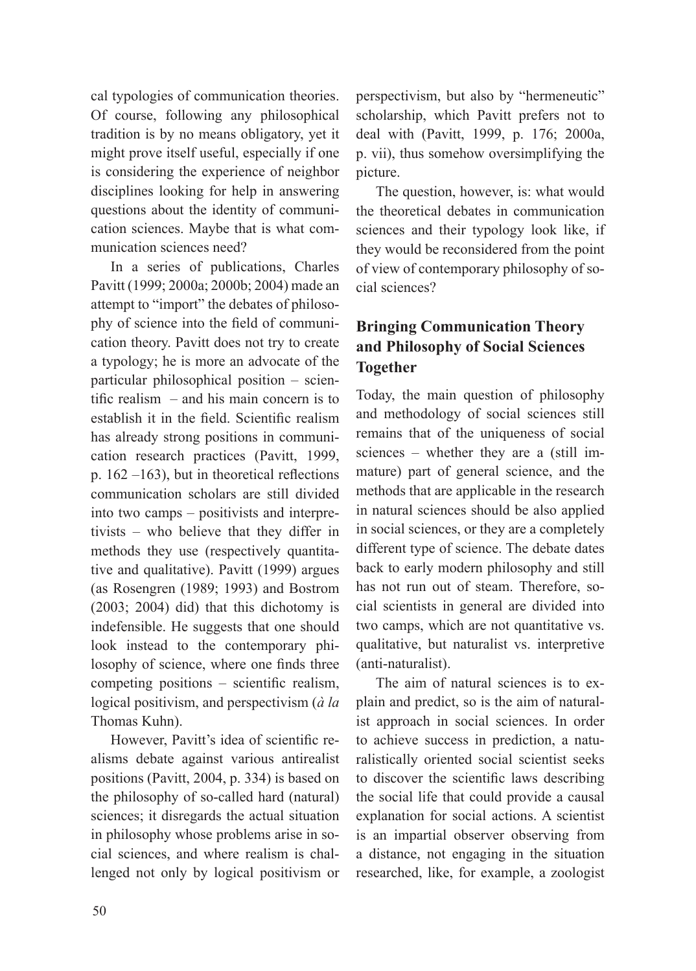cal typologies of communication theories. Of course, following any philosophical tradition is by no means obligatory, yet it might prove itself useful, especially if one is considering the experience of neighbor disciplines looking for help in answering questions about the identity of communication sciences. Maybe that is what communication sciences need?

In a series of publications, Charles Pavitt (1999; 2000a; 2000b; 2004) made an attempt to "import" the debates of philosophy of science into the field of communication theory. Pavitt does not try to create a typology; he is more an advocate of the particular philosophical position – scientific realism – and his main concern is to establish it in the field. Scientific realism has already strong positions in communication research practices (Pavitt, 1999, p. 162 –163), but in theoretical reflections communication scholars are still divided into two camps – positivists and interpretivists – who believe that they differ in methods they use (respectively quantitative and qualitative). Pavitt (1999) argues (as Rosengren (1989; 1993) and Bostrom (2003; 2004) did) that this dichotomy is indefensible. He suggests that one should look instead to the contemporary philosophy of science, where one finds three competing positions – scientific realism, logical positivism, and perspectivism (*à la* Thomas Kuhn).

However, Pavitt's idea of scientific realisms debate against various antirealist positions (Pavitt, 2004, p. 334) is based on the philosophy of so-called hard (natural) sciences; it disregards the actual situation in philosophy whose problems arise in social sciences, and where realism is challenged not only by logical positivism or perspectivism, but also by "hermeneutic" scholarship, which Pavitt prefers not to deal with (Pavitt, 1999, p. 176; 2000a, p. vii), thus somehow oversimplifying the picture.

The question, however, is: what would the theoretical debates in communication sciences and their typology look like, if they would be reconsidered from the point of view of contemporary philosophy of social sciences?

## **Bringing Communication Theory and Philosophy of Social Sciences Together**

Today, the main question of philosophy and methodology of social sciences still remains that of the uniqueness of social sciences – whether they are a (still immature) part of general science, and the methods that are applicable in the research in natural sciences should be also applied in social sciences, or they are a completely different type of science. The debate dates back to early modern philosophy and still has not run out of steam. Therefore, social scientists in general are divided into two camps, which are not quantitative vs. qualitative, but naturalist vs. interpretive (anti-naturalist).

The aim of natural sciences is to explain and predict, so is the aim of naturalist approach in social sciences. In order to achieve success in prediction, a naturalistically oriented social scientist seeks to discover the scientific laws describing the social life that could provide a causal explanation for social actions. A scientist is an impartial observer observing from a distance, not engaging in the situation researched, like, for example, a zoologist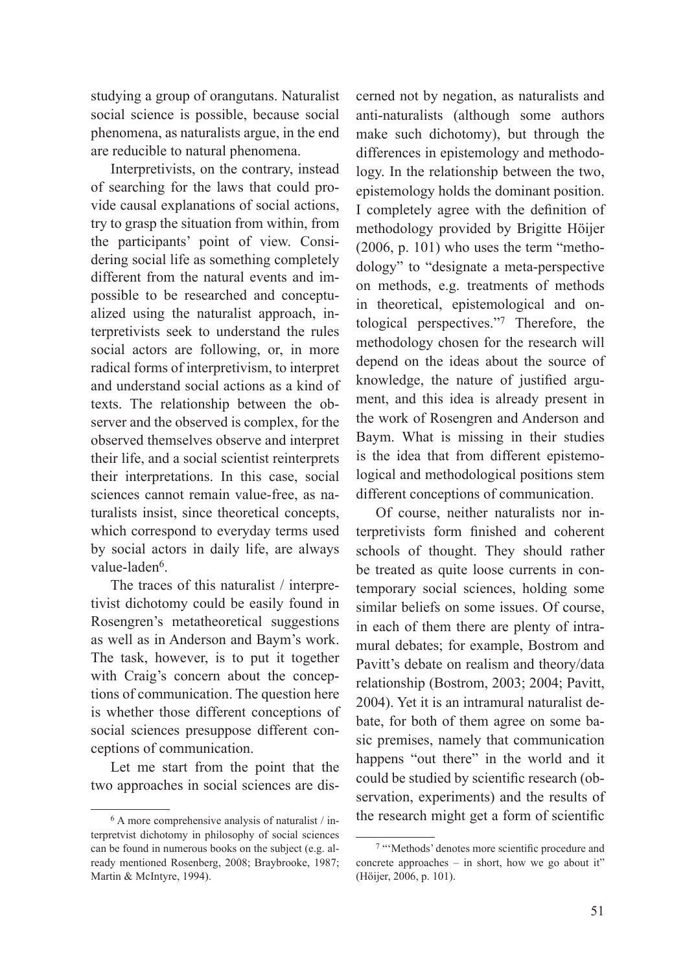studying a group of orangutans. Naturalist social science is possible, because social phenomena, as naturalists argue, in the end are reducible to natural phenomena.

Interpretivists, on the contrary, instead of searching for the laws that could provide causal explanations of social actions, try to grasp the situation from within, from the participants' point of view. Considering social life as something completely different from the natural events and impossible to be researched and conceptualized using the naturalist approach, interpretivists seek to understand the rules social actors are following, or, in more radical forms of interpretivism, to interpret and understand social actions as a kind of texts. The relationship between the observer and the observed is complex, for the observed themselves observe and interpret their life, and a social scientist reinterprets their interpretations. In this case, social sciences cannot remain value-free, as naturalists insist, since theoretical concepts, which correspond to everyday terms used by social actors in daily life, are always value-laden<sup>6</sup>.

The traces of this naturalist / interpretivist dichotomy could be easily found in Rosengren's metatheoretical suggestions as well as in Anderson and Baym's work. The task, however, is to put it together with Craig's concern about the conceptions of communication. The question here is whether those different conceptions of social sciences presuppose different conceptions of communication.

Let me start from the point that the two approaches in social sciences are dis-

cerned not by negation, as naturalists and anti-naturalists (although some authors make such dichotomy), but through the differences in epistemology and methodology. In the relationship between the two, epistemology holds the dominant position. I completely agree with the definition of methodology provided by Brigitte Höijer (2006, p. 101) who uses the term "methodology" to "designate a meta-perspective on methods, e.g. treatments of methods in theoretical, epistemological and ontological perspectives."7 Therefore, the methodology chosen for the research will depend on the ideas about the source of knowledge, the nature of justified argument, and this idea is already present in the work of Rosengren and Anderson and Baym. What is missing in their studies is the idea that from different epistemological and methodological positions stem different conceptions of communication.

Of course, neither naturalists nor interpretivists form finished and coherent schools of thought. They should rather be treated as quite loose currents in contemporary social sciences, holding some similar beliefs on some issues. Of course, in each of them there are plenty of intramural debates; for example, Bostrom and Pavitt's debate on realism and theory/data relationship (Bostrom, 2003; 2004; Pavitt, 2004). Yet it is an intramural naturalist debate, for both of them agree on some basic premises, namely that communication happens "out there" in the world and it could be studied by scientific research (observation, experiments) and the results of the research might get a form of scientific

<sup>6</sup> A more comprehensive analysis of naturalist / interpretvist dichotomy in philosophy of social sciences can be found in numerous books on the subject (e.g. already mentioned Rosenberg, 2008; Braybrooke, 1987; Martin & McIntyre, 1994).

<sup>7</sup> "'Methods' denotes more scientific procedure and concrete approaches – in short, how we go about it" (Höijer, 2006, p. 101).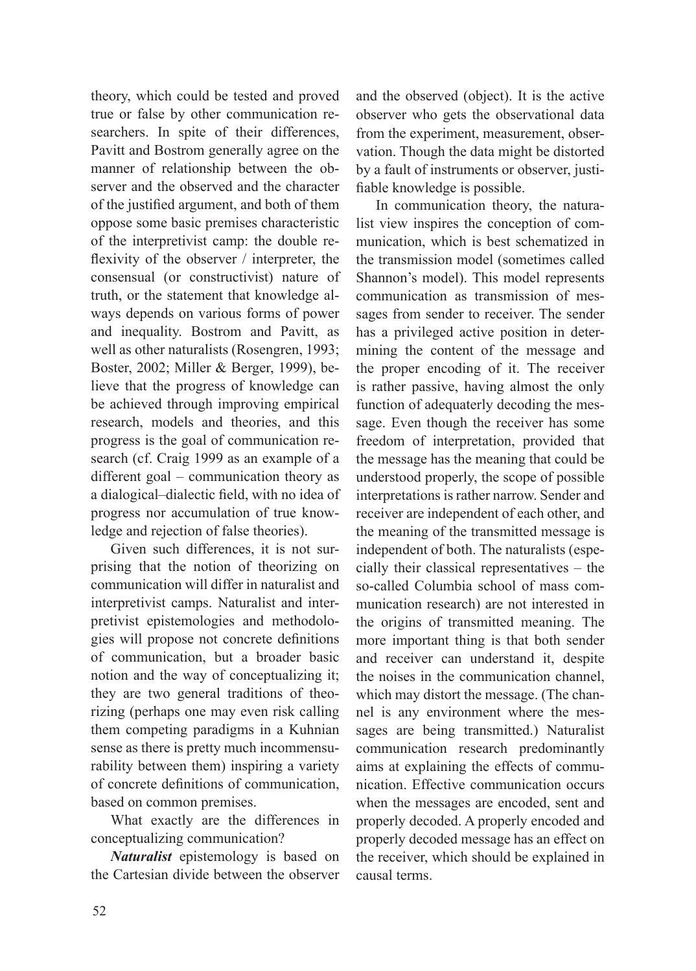theory, which could be tested and proved true or false by other communication researchers. In spite of their differences, Pavitt and Bostrom generally agree on the manner of relationship between the observer and the observed and the character of the justified argument, and both of them oppose some basic premises characteristic of the interpretivist camp: the double reflexivity of the observer / interpreter, the consensual (or constructivist) nature of truth, or the statement that knowledge always depends on various forms of power and inequality. Bostrom and Pavitt, as well as other naturalists (Rosengren, 1993; Boster, 2002; Miller & Berger, 1999), believe that the progress of knowledge can be achieved through improving empirical research, models and theories, and this progress is the goal of communication research (cf. Craig 1999 as an example of a different goal – communication theory as a dialogical–dialectic field, with no idea of progress nor accumulation of true knowledge and rejection of false theories).

Given such differences, it is not surprising that the notion of theorizing on communication will differ in naturalist and interpretivist camps. Naturalist and interpretivist epistemologies and methodologies will propose not concrete definitions of communication, but a broader basic notion and the way of conceptualizing it; they are two general traditions of theorizing (perhaps one may even risk calling them competing paradigms in a Kuhnian sense as there is pretty much incommensurability between them) inspiring a variety of concrete definitions of communication, based on common premises.

What exactly are the differences in conceptualizing communication?

*Naturalist* epistemology is based on the Cartesian divide between the observer and the observed (object). It is the active observer who gets the observational data from the experiment, measurement, observation. Though the data might be distorted by a fault of instruments or observer, justifiable knowledge is possible.

In communication theory, the naturalist view inspires the conception of communication, which is best schematized in the transmission model (sometimes called Shannon's model). This model represents communication as transmission of messages from sender to receiver. The sender has a privileged active position in determining the content of the message and the proper encoding of it. The receiver is rather passive, having almost the only function of adequaterly decoding the message. Even though the receiver has some freedom of interpretation, provided that the message has the meaning that could be understood properly, the scope of possible interpretations is rather narrow. Sender and receiver are independent of each other, and the meaning of the transmitted message is independent of both. The naturalists (especially their classical representatives – the so-called Columbia school of mass communication research) are not interested in the origins of transmitted meaning. The more important thing is that both sender and receiver can understand it, despite the noises in the communication channel, which may distort the message. (The channel is any environment where the messages are being transmitted.) Naturalist communication research predominantly aims at explaining the effects of communication. Effective communication occurs when the messages are encoded, sent and properly decoded. A properly encoded and properly decoded message has an effect on the receiver, which should be explained in causal terms.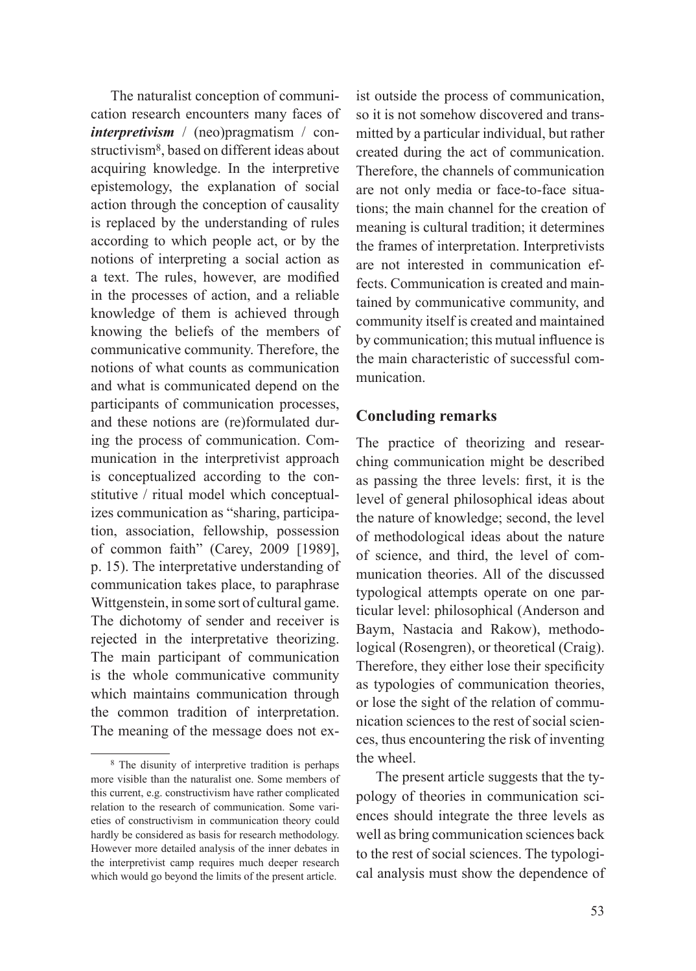The naturalist conception of communication research encounters many faces of *interpretivism* / (neo)pragmatism / constructivism<sup>8</sup>, based on different ideas about acquiring knowledge. In the interpretive epistemology, the explanation of social action through the conception of causality is replaced by the understanding of rules according to which people act, or by the notions of interpreting a social action as a text. The rules, however, are modified in the processes of action, and a reliable knowledge of them is achieved through knowing the beliefs of the members of communicative community. Therefore, the notions of what counts as communication and what is communicated depend on the participants of communication processes, and these notions are (re)formulated during the process of communication. Communication in the interpretivist approach is conceptualized according to the constitutive / ritual model which conceptualizes communication as "sharing, participation, association, fellowship, possession of common faith" (Carey, 2009 [1989], p. 15). The interpretative understanding of communication takes place, to paraphrase Wittgenstein, in some sort of cultural game. The dichotomy of sender and receiver is rejected in the interpretative theorizing. The main participant of communication is the whole communicative community which maintains communication through the common tradition of interpretation. The meaning of the message does not ex-

ist outside the process of communication, so it is not somehow discovered and transmitted by a particular individual, but rather created during the act of communication. Therefore, the channels of communication are not only media or face-to-face situations; the main channel for the creation of meaning is cultural tradition; it determines the frames of interpretation. Interpretivists are not interested in communication effects. Communication is created and maintained by communicative community, and community itself is created and maintained by communication; this mutual influence is the main characteristic of successful communication.

### **Concluding remarks**

The practice of theorizing and researching communication might be described as passing the three levels: first, it is the level of general philosophical ideas about the nature of knowledge; second, the level of methodological ideas about the nature of science, and third, the level of communication theories. All of the discussed typological attempts operate on one particular level: philosophical (Anderson and Baym, Nastacia and Rakow), methodological (Rosengren), or theoretical (Craig). Therefore, they either lose their specificity as typologies of communication theories, or lose the sight of the relation of communication sciences to the rest of social sciences, thus encountering the risk of inventing the wheel.

The present article suggests that the typology of theories in communication sciences should integrate the three levels as well as bring communication sciences back to the rest of social sciences. The typological analysis must show the dependence of

<sup>8</sup> The disunity of interpretive tradition is perhaps more visible than the naturalist one. Some members of this current, e.g. constructivism have rather complicated relation to the research of communication. Some varieties of constructivism in communication theory could hardly be considered as basis for research methodology. However more detailed analysis of the inner debates in the interpretivist camp requires much deeper research which would go beyond the limits of the present article.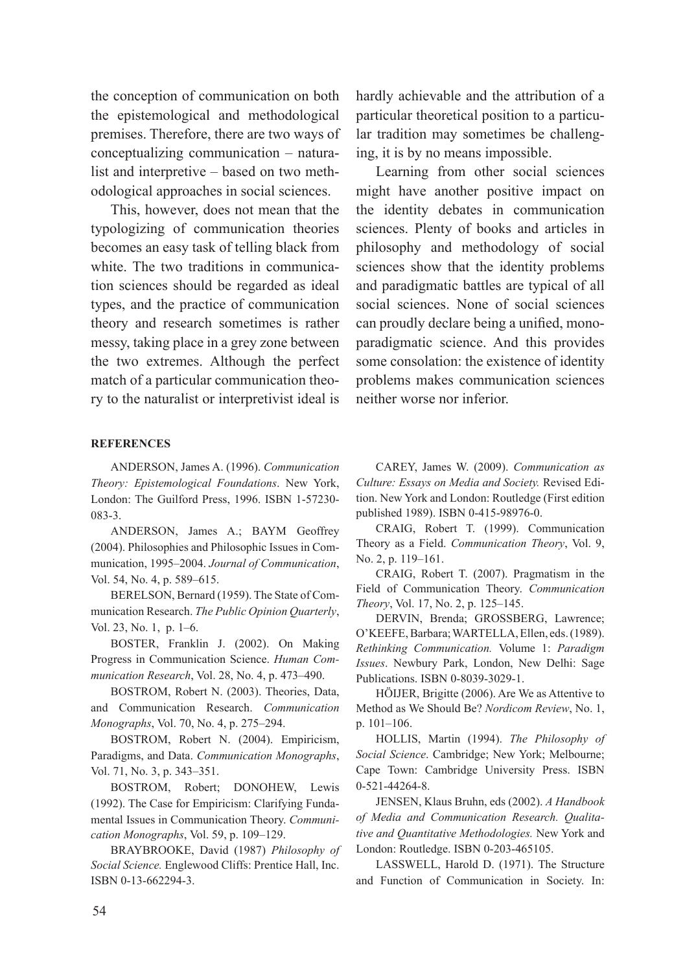the conception of communication on both the epistemological and methodological premises. Therefore, there are two ways of conceptualizing communication – naturalist and interpretive – based on two methodological approaches in social sciences.

This, however, does not mean that the typologizing of communication theories becomes an easy task of telling black from white. The two traditions in communication sciences should be regarded as ideal types, and the practice of communication theory and research sometimes is rather messy, taking place in a grey zone between the two extremes. Although the perfect match of a particular communication theory to the naturalist or interpretivist ideal is

#### **REFERENCES**

ANDERSON, James A. (1996). *Communication Theory: Epistemological Foundations*. New York, London: The Guilford Press, 1996. ISBN 1-57230- 083-3.

ANDERSON, James A.; BAYM Geoffrey (2004). Philosophies and Philosophic Issues in Communication, 1995–2004. *Journal of Communication*, Vol. 54, No. 4, p. 589–615.

BERELSON, Bernard (1959). The State of Communication Research. *The Public Opinion Quarterly*, Vol. 23, No. 1, p. 1–6.

BOSTER, Franklin J. (2002). On Making Progress in Communication Science. *Human Communication Research*, Vol. 28, No. 4, p. 473–490.

BOSTROM, Robert N. (2003). Theories, Data, and Communication Research. *Communication Monographs*, Vol. 70, No. 4, p. 275–294.

BOSTROM, Robert N. (2004). Empiricism, Paradigms, and Data. *Communication Monographs*, Vol. 71, No. 3, p. 343–351.

BOSTROM, Robert; DONOHEW, Lewis (1992). The Case for Empiricism: Clarifying Fundamental Issues in Communication Theory. *Communication Monographs*, Vol. 59, p. 109–129.

BRAYBROOKE, David (1987) *Philosophy of Social Science.* Englewood Cliffs: Prentice Hall, Inc. ISBN 0-13-662294-3.

hardly achievable and the attribution of a particular theoretical position to a particular tradition may sometimes be challenging, it is by no means impossible.

Learning from other social sciences might have another positive impact on the identity debates in communication sciences. Plenty of books and articles in philosophy and methodology of social sciences show that the identity problems and paradigmatic battles are typical of all social sciences. None of social sciences can proudly declare being a unified, monoparadigmatic science. And this provides some consolation: the existence of identity problems makes communication sciences neither worse nor inferior.

CAREY, James W. (2009). *Communication as Culture: Essays on Media and Society.* Revised Edition. New York and London: Routledge (First edition published 1989). ISBN 0-415-98976-0.

CRAIG, Robert T. (1999). Communication Theory as a Field. *Communication Theory*, Vol. 9, No. 2, p. 119–161.

CRAIG, Robert T. (2007). Pragmatism in the Field of Communication Theory. *Communication Theory*, Vol. 17, No. 2, p. 125–145.

DERVIN, Brenda; GROSSBERG, Lawrence; O'KEEFE,Barbara;WARTELLA,Ellen, eds.(1989). *Rethinking Communication.* Volume 1: *Paradigm Issues*. Newbury Park, London, New Delhi: Sage Publications. ISBN 0-8039-3029-1.

HÖIJER, Brigitte (2006). Are We as Attentive to Method as We Should Be? *Nordicom Review*, No. 1, p. 101–106.

HOLLIS, Martin (1994). *The Philosophy of Social Science*. Cambridge; New York; Melbourne; Cape Town: Cambridge University Press. ISBN 0-521-44264-8.

JENSEN, Klaus Bruhn, eds (2002). *A Handbook of Media and Communication Research. Qualitative and Quantitative Methodologies.* New York and London: Routledge. ISBN 0-203-465105.

LASSWELL, Harold D. (1971). The Structure and Function of Communication in Society. In: